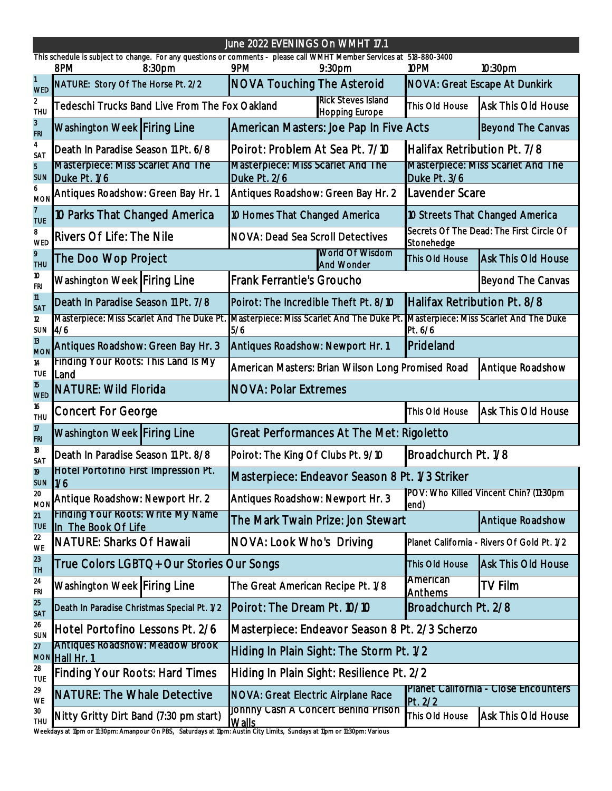Weekdays at 11pm or 11:30pm: Amanpour On PBS, Saturdays at 11pm: Austin City Limits, Sundays at 11pm or 11:30pm: Various

| June 2022 EVENINGS On WMHT 17.1<br>This schedule is subject to change. For any questions or comments - please call WMHT Member Services at 518-880-3400 |                                                                                                                                                                      |                                                              |                                                    |                                                          |                                            |  |  |
|---------------------------------------------------------------------------------------------------------------------------------------------------------|----------------------------------------------------------------------------------------------------------------------------------------------------------------------|--------------------------------------------------------------|----------------------------------------------------|----------------------------------------------------------|--------------------------------------------|--|--|
|                                                                                                                                                         | 8PM<br>8:30 <sub>pm</sub>                                                                                                                                            | 9PM                                                          | 9:30 <sub>pm</sub>                                 | 10PM                                                     | 10:30 <sub>pm</sub>                        |  |  |
| <b>WED</b>                                                                                                                                              | NATURE: Story Of The Horse Pt. 2/2                                                                                                                                   | <b>NOVA Touching The Asteroid</b>                            |                                                    |                                                          | <b>NOVA: Great Escape At Dunkirk</b>       |  |  |
| 2<br><b>THU</b>                                                                                                                                         | Tedeschi Trucks Band Live From The Fox Oakland                                                                                                                       |                                                              | <b>Rick Steves Island</b><br><b>Hopping Europe</b> | This Old House                                           | <b>Ask This Old House</b>                  |  |  |
| $\mathfrak{Z}$<br><b>FRI</b>                                                                                                                            | Washington Week Firing Line                                                                                                                                          |                                                              | American Masters: Joe Pap In Five Acts             |                                                          | <b>Beyond The Canvas</b>                   |  |  |
| 4<br><b>SAT</b>                                                                                                                                         | Death In Paradise Season 11 Pt. 6/8                                                                                                                                  | Poirot: Problem At Sea Pt. 7/10                              |                                                    | Halifax Retribution Pt. 7/8                              |                                            |  |  |
| $\overline{b}$<br><b>SUN</b>                                                                                                                            | <b>Masterpiece: Miss Scarlet And The</b><br>Duke Pt. 1/6                                                                                                             | <b>Masterpiece: Miss Scarlet And The</b><br>Duke Pt. 2/6     |                                                    | <b>Masterpiece: Miss Scarlet And The</b><br>Duke Pt. 3/6 |                                            |  |  |
| <b>MON</b>                                                                                                                                              | Antiques Roadshow: Green Bay Hr. 1                                                                                                                                   | Antiques Roadshow: Green Bay Hr. 2                           |                                                    | Lavender Scare                                           |                                            |  |  |
| <b>TUE</b>                                                                                                                                              | 10 Parks That Changed America                                                                                                                                        |                                                              | 10 Homes That Changed America                      |                                                          | 10 Streets That Changed America            |  |  |
| 8<br>WED                                                                                                                                                | <b>Rivers Of Life: The Nile</b>                                                                                                                                      | <b>NOVA: Dead Sea Scroll Detectives</b>                      |                                                    | Secrets Of The Dead: The First Circle Of<br>Stonehedge   |                                            |  |  |
| 9<br><b>THU</b>                                                                                                                                         | The Doo Wop Project                                                                                                                                                  |                                                              | World Of Wisdom<br><b>And Wonder</b>               | This Old House                                           | Ask This Old House                         |  |  |
| 10<br><b>FRI</b>                                                                                                                                        | Washington Week Firing Line                                                                                                                                          | <b>Frank Ferrantie's Groucho</b>                             |                                                    |                                                          | <b>Beyond The Canvas</b>                   |  |  |
| $\overline{11}$<br><b>SAT</b>                                                                                                                           | Death In Paradise Season 11 Pt. 7/8                                                                                                                                  | Poirot: The Incredible Theft Pt. 8/10                        |                                                    | Halifax Retribution Pt. 8/8                              |                                            |  |  |
| 12 <sup>°</sup><br><b>SUN</b>                                                                                                                           | Masterpiece: Miss Scarlet And The Duke Pt. Masterpiece: Miss Scarlet And The Duke Pt. Masterpiece: Miss Scarlet And The Duke<br>$\frac{4}{6}$                        | 5/6                                                          |                                                    | Pt. 6/6                                                  |                                            |  |  |
| 13<br><b>MON</b>                                                                                                                                        | Antiques Roadshow: Newport Hr. 1<br>Antiques Roadshow: Green Bay Hr. 3                                                                                               |                                                              | Prideland                                          |                                                          |                                            |  |  |
| 14<br><b>TUE</b>                                                                                                                                        | Finding Your Roots: This Land Is My<br><b>Land</b>                                                                                                                   | American Masters: Brian Wilson Long Promised Road            |                                                    |                                                          | Antique Roadshow                           |  |  |
| <b>WED</b>                                                                                                                                              | <b>NATURE: Wild Florida</b>                                                                                                                                          | <b>INOVA: Polar Extremes</b>                                 |                                                    |                                                          |                                            |  |  |
| 16<br><b>THU</b>                                                                                                                                        | <b>Concert For George</b>                                                                                                                                            |                                                              |                                                    | This Old House                                           | <b>Ask This Old House</b>                  |  |  |
| 17<br><b>FRI</b>                                                                                                                                        | Washington Week Firing Line                                                                                                                                          |                                                              | <b>Great Performances At The Met: Rigoletto</b>    |                                                          |                                            |  |  |
| 18<br>SAT                                                                                                                                               | Death In Paradise Season 11 Pt. 8/8                                                                                                                                  | Broadchurch Pt. 1/8<br>Poirot: The King Of Clubs Pt. 9/10    |                                                    |                                                          |                                            |  |  |
| 19<br><b>SUN</b>                                                                                                                                        | Hotel Portofino First Impression Pt.<br>1/6                                                                                                                          | Masterpiece: Endeavor Season 8 Pt. 1/3 Striker               |                                                    |                                                          |                                            |  |  |
| 20<br><b>MON</b>                                                                                                                                        | Antique Roadshow: Newport Hr. 2                                                                                                                                      | Antiques Roadshow: Newport Hr. 3                             |                                                    | end)                                                     | POV: Who Killed Vincent Chin? (11:30pm     |  |  |
| 21<br><b>TUE</b>                                                                                                                                        | Finding Your Roots: Write My Name<br>In The Book Of Life                                                                                                             |                                                              | The Mark Twain Prize: Jon Stewart                  |                                                          | <b>Antique Roadshow</b>                    |  |  |
| 22<br><b>WE</b>                                                                                                                                         | <b>NATURE: Sharks Of Hawaii</b>                                                                                                                                      | NOVA: Look Who's Driving                                     |                                                    |                                                          | Planet California - Rivers Of Gold Pt. 1/2 |  |  |
| 23<br><b>TH</b>                                                                                                                                         | True Colors LGBTQ+ Our Stories Our Songs                                                                                                                             |                                                              | This Old House                                     | <b>Ask This Old House</b>                                |                                            |  |  |
| 24<br><b>FRI</b>                                                                                                                                        | Washington Week Firing Line                                                                                                                                          | The Great American Recipe Pt. 1/8                            |                                                    | American<br>Anthems                                      | <b>TV Film</b>                             |  |  |
| 25<br><b>SAT</b>                                                                                                                                        | Death In Paradise Christmas Special Pt. 1/2                                                                                                                          | Broadchurch Pt. 2/8<br>Poirot: The Dream Pt. 10/10           |                                                    |                                                          |                                            |  |  |
| 26<br>SUN                                                                                                                                               | Hotel Portofino Lessons Pt. 2/6                                                                                                                                      | Masterpiece: Endeavor Season 8 Pt. 2/3 Scherzo               |                                                    |                                                          |                                            |  |  |
| 27                                                                                                                                                      | <b>Antiques Roadshow: Meadow Brook</b><br>MON Hall Hr. 1                                                                                                             | Hiding In Plain Sight: The Storm Pt. 1/2                     |                                                    |                                                          |                                            |  |  |
| 28<br><b>TUE</b>                                                                                                                                        | <b>Finding Your Roots: Hard Times</b>                                                                                                                                | Hiding In Plain Sight: Resilience Pt. 2/2                    |                                                    |                                                          |                                            |  |  |
| 29<br>WE                                                                                                                                                | <b>NATURE: The Whale Detective</b>                                                                                                                                   | NOVA: Great Electric Airplane Race                           |                                                    | <b>Planet California</b><br>Pt. 2/2                      | - Close Encounters                         |  |  |
| 30<br><b>THU</b>                                                                                                                                        | Nitty Gritty Dirt Band (7:30 pm start)<br>Wookdays at 11pm or 11:20pm; Amannour On DPS - Saturdays at 11pm; Austin City Limits - Sundays at 11pm or 11:20pm; Various | <u>JONNNY CASN A CONCETT BENING PRISON</u><br><b>I</b> Walls |                                                    | This Old House                                           | Ask This Old House                         |  |  |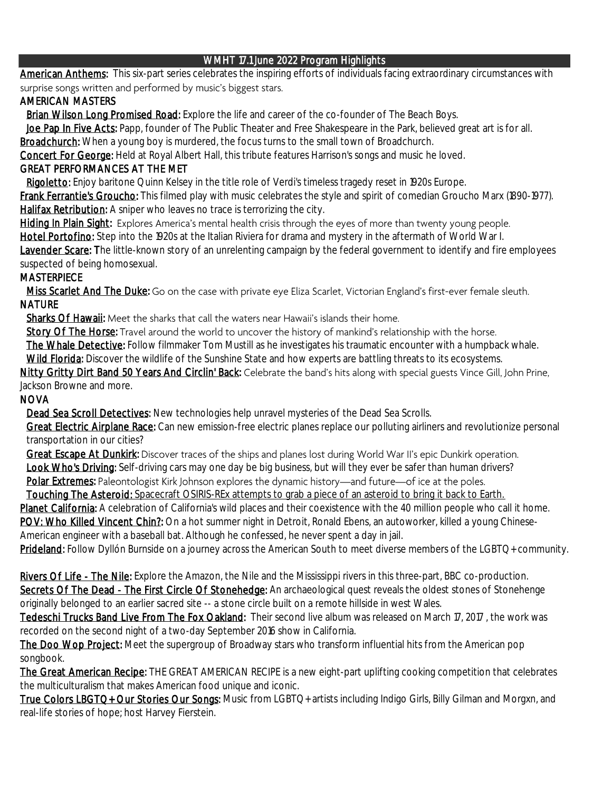### WMHT 17.1 June 2022 Program Highlights

American Anthems: This six-part series celebrates the inspiring efforts of individuals facing extraordinary circumstances with surprise songs written and performed by music's biggest stars.

## AMERICAN MASTERS

Brian Wilson Long Promised Road: Explore the life and career of the co-founder of The Beach Boys.

Joe Pap In Five Acts: Papp, founder of The Public Theater and Free Shakespeare in the Park, believed great art is for all. Broadchurch: When a young boy is murdered, the focus turns to the small town of Broadchurch.

Concert For George: Held at Royal Albert Hall, this tribute features Harrison's songs and music he loved.

## GREAT PERFORMANCES AT THE MET

Rigoletto: Enjoy baritone Quinn Kelsey in the title role of Verdi's timeless tragedy reset in 1920s Europe.

Frank Ferrantie's Groucho: This filmed play with music celebrates the style and spirit of comedian Groucho Marx (1890-1977). Halifax Retribution: A sniper who leaves no trace is terrorizing the city.

Hiding In Plain Sight: Explores America's mental health crisis through the eyes of more than twenty young people. Lavender Scare: The little-known story of an unrelenting campaign by the federal government to identify and fire employees suspected of being homosexual. Hotel Portofino: Step into the 1920s at the Italian Riviera for drama and mystery in the aftermath of World War I.

## **MASTERPIECE**

Miss Scarlet And The Duke: Go on the case with private eye Eliza Scarlet, Victorian England's first-ever female sleuth. NATURE

Sharks Of Hawaii: Meet the sharks that call the waters near Hawaii's islands their home.

Story Of The Horse: Travel around the world to uncover the history of mankind's relationship with the horse.

The Whale Detective: Follow filmmaker Tom Mustill as he investigates his traumatic encounter with a humpback whale.

Wild Florida: Discover the wildlife of the Sunshine State and how experts are battling threats to its ecosystems.

Nitty Gritty Dirt Band 50 Years And Circlin' Back: Celebrate the band's hits along with special guests Vince Gill, John Prine, Jackson Browne and more.

### NOVA

Dead Sea Scroll Detectives: New technologies help unravel mysteries of the Dead Sea Scrolls.

Great Electric Airplane Race: Can new emission-free electric planes replace our polluting airliners and revolutionize personal transportation in our cities?

Great Escape At Dunkirk: Discover traces of the ships and planes lost during World War II's epic Dunkirk operation. Look Who's Driving: Self-driving cars may one day be big business, but will they ever be safer than human drivers?

Polar Extremes: Paleontologist Kirk Johnson explores the dynamic history-and future-of ice at the poles.

Touching The Asteroid: Spacecraft OSIRIS-REx attempts to grab a piece of an asteroid to bring it back to Earth.

Planet California: A celebration of California's wild places and their coexistence with the 40 million people who call it home. POV: Who Killed Vincent Chin?: On a hot summer night in Detroit, Ronald Ebens, an autoworker, killed a young Chinese-American engineer with a baseball bat. Although he confessed, he never spent a day in jail.

Prideland: Follow Dyllón Burnside on a journey across the American South to meet diverse members of the LGBTQ+ community.

Secrets Of The Dead - The First Circle Of Stonehedge: An archaeological quest reveals the oldest stones of Stonehenge originally belonged to an earlier sacred site -- a stone circle built on a remote hillside in west Wales. Rivers Of Life - The Nile: Explore the Amazon, the Nile and the Mississippi rivers in this three-part, BBC co-production.

Tedeschi Trucks Band Live From The Fox Oakland: Their second live album was released on March 17, 2017, the work was recorded on the second night of a two-day September 2016 show in California.

The Doo Wop Project: Meet the supergroup of Broadway stars who transform influential hits from the American pop songbook.

The Great American Recipe: THE GREAT AMERICAN RECIPE is a new eight-part uplifting cooking competition that celebrates the multiculturalism that makes American food unique and iconic.

True Colors LBGTQ+ Our Stories Our Songs: Music from LGBTQ+ artists including Indigo Girls, Billy Gilman and Morgxn, and real-life stories of hope; host Harvey Fierstein.